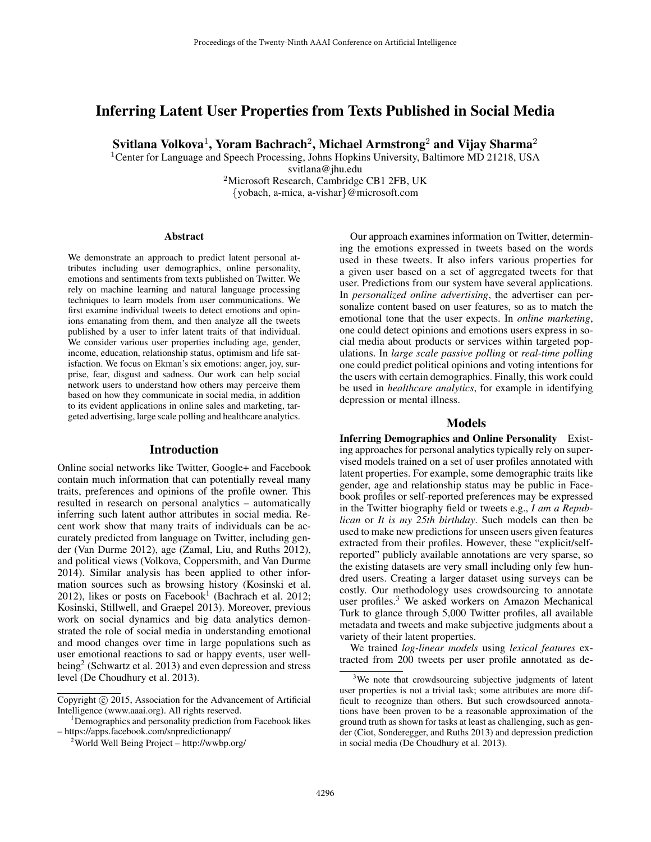# Inferring Latent User Properties from Texts Published in Social Media

Svitlana Volkova $^1$ , Yoram Bachrach $^2$ , Michael Armstrong $^2$  and Vijay Sharma $^2$ 

<sup>1</sup>Center for Language and Speech Processing, Johns Hopkins University, Baltimore MD 21218, USA svitlana@jhu.edu

<sup>2</sup>Microsoft Research, Cambridge CB1 2FB, UK {yobach, a-mica, a-vishar}@microsoft.com

#### Abstract

We demonstrate an approach to predict latent personal attributes including user demographics, online personality, emotions and sentiments from texts published on Twitter. We rely on machine learning and natural language processing techniques to learn models from user communications. We first examine individual tweets to detect emotions and opinions emanating from them, and then analyze all the tweets published by a user to infer latent traits of that individual. We consider various user properties including age, gender, income, education, relationship status, optimism and life satisfaction. We focus on Ekman's six emotions: anger, joy, surprise, fear, disgust and sadness. Our work can help social network users to understand how others may perceive them based on how they communicate in social media, in addition to its evident applications in online sales and marketing, targeted advertising, large scale polling and healthcare analytics.

### Introduction

Online social networks like Twitter, Google+ and Facebook contain much information that can potentially reveal many traits, preferences and opinions of the profile owner. This resulted in research on personal analytics – automatically inferring such latent author attributes in social media. Recent work show that many traits of individuals can be accurately predicted from language on Twitter, including gender (Van Durme 2012), age (Zamal, Liu, and Ruths 2012), and political views (Volkova, Coppersmith, and Van Durme 2014). Similar analysis has been applied to other information sources such as browsing history (Kosinski et al. 2012), likes or posts on Facebook<sup>1</sup> (Bachrach et al. 2012; Kosinski, Stillwell, and Graepel 2013). Moreover, previous work on social dynamics and big data analytics demonstrated the role of social media in understanding emotional and mood changes over time in large populations such as user emotional reactions to sad or happy events, user wellbeing<sup>2</sup> (Schwartz et al. 2013) and even depression and stress level (De Choudhury et al. 2013).

Our approach examines information on Twitter, determining the emotions expressed in tweets based on the words used in these tweets. It also infers various properties for a given user based on a set of aggregated tweets for that user. Predictions from our system have several applications. In *personalized online advertising*, the advertiser can personalize content based on user features, so as to match the emotional tone that the user expects. In *online marketing*, one could detect opinions and emotions users express in social media about products or services within targeted populations. In *large scale passive polling* or *real-time polling* one could predict political opinions and voting intentions for the users with certain demographics. Finally, this work could be used in *healthcare analytics*, for example in identifying depression or mental illness.

#### Models

Inferring Demographics and Online Personality Existing approaches for personal analytics typically rely on supervised models trained on a set of user profiles annotated with latent properties. For example, some demographic traits like gender, age and relationship status may be public in Facebook profiles or self-reported preferences may be expressed in the Twitter biography field or tweets e.g., *I am a Republican* or *It is my 25th birthday*. Such models can then be used to make new predictions for unseen users given features extracted from their profiles. However, these "explicit/selfreported" publicly available annotations are very sparse, so the existing datasets are very small including only few hundred users. Creating a larger dataset using surveys can be costly. Our methodology uses crowdsourcing to annotate user profiles.<sup>3</sup> We asked workers on Amazon Mechanical Turk to glance through 5,000 Twitter profiles, all available metadata and tweets and make subjective judgments about a variety of their latent properties.

We trained *log-linear models* using *lexical features* extracted from 200 tweets per user profile annotated as de-

Copyright (c) 2015, Association for the Advancement of Artificial Intelligence (www.aaai.org). All rights reserved.

<sup>&</sup>lt;sup>1</sup>Demographics and personality prediction from Facebook likes – https://apps.facebook.com/snpredictionapp/

<sup>2</sup>World Well Being Project – http://wwbp.org/

<sup>&</sup>lt;sup>3</sup>We note that crowdsourcing subjective judgments of latent user properties is not a trivial task; some attributes are more difficult to recognize than others. But such crowdsourced annotations have been proven to be a reasonable approximation of the ground truth as shown for tasks at least as challenging, such as gender (Ciot, Sonderegger, and Ruths 2013) and depression prediction in social media (De Choudhury et al. 2013).